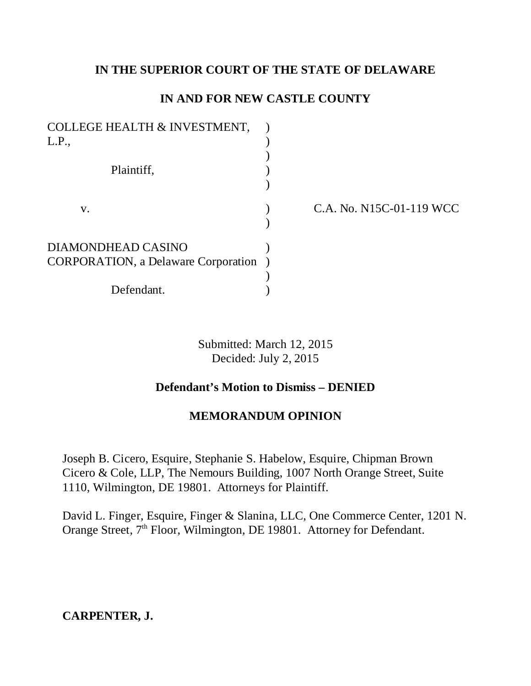## **IN THE SUPERIOR COURT OF THE STATE OF DELAWARE**

# **IN AND FOR NEW CASTLE COUNTY**

| <b>COLLEGE HEALTH &amp; INVESTMENT,</b>    |  |
|--------------------------------------------|--|
| L.P.,                                      |  |
|                                            |  |
| Plaintiff,                                 |  |
|                                            |  |
| V.                                         |  |
|                                            |  |
| DIAMONDHEAD CASINO                         |  |
| <b>CORPORATION, a Delaware Corporation</b> |  |
|                                            |  |
| Defendant.                                 |  |

C.A. No. N15C-01-119 WCC

Submitted: March 12, 2015 Decided: July 2, 2015

# **Defendant's Motion to Dismiss – DENIED**

## **MEMORANDUM OPINION**

Joseph B. Cicero, Esquire, Stephanie S. Habelow, Esquire, Chipman Brown Cicero & Cole, LLP, The Nemours Building, 1007 North Orange Street, Suite 1110, Wilmington, DE 19801. Attorneys for Plaintiff.

David L. Finger, Esquire, Finger & Slanina, LLC, One Commerce Center, 1201 N. Orange Street, 7<sup>th</sup> Floor, Wilmington, DE 19801. Attorney for Defendant.

**CARPENTER, J.**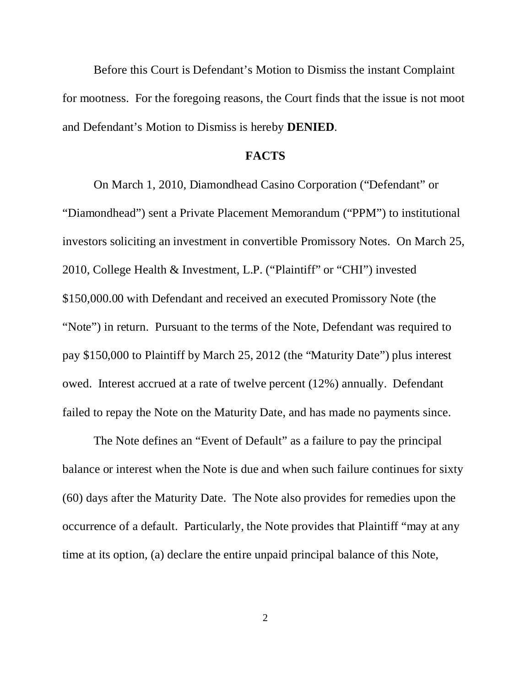Before this Court is Defendant's Motion to Dismiss the instant Complaint for mootness. For the foregoing reasons, the Court finds that the issue is not moot and Defendant's Motion to Dismiss is hereby **DENIED**.

#### **FACTS**

On March 1, 2010, Diamondhead Casino Corporation ("Defendant" or "Diamondhead") sent a Private Placement Memorandum ("PPM") to institutional investors soliciting an investment in convertible Promissory Notes. On March 25, 2010, College Health & Investment, L.P. ("Plaintiff" or "CHI") invested \$150,000.00 with Defendant and received an executed Promissory Note (the "Note") in return. Pursuant to the terms of the Note, Defendant was required to pay \$150,000 to Plaintiff by March 25, 2012 (the "Maturity Date") plus interest owed. Interest accrued at a rate of twelve percent (12%) annually. Defendant failed to repay the Note on the Maturity Date, and has made no payments since.

The Note defines an "Event of Default" as a failure to pay the principal balance or interest when the Note is due and when such failure continues for sixty (60) days after the Maturity Date. The Note also provides for remedies upon the occurrence of a default. Particularly, the Note provides that Plaintiff "may at any time at its option, (a) declare the entire unpaid principal balance of this Note,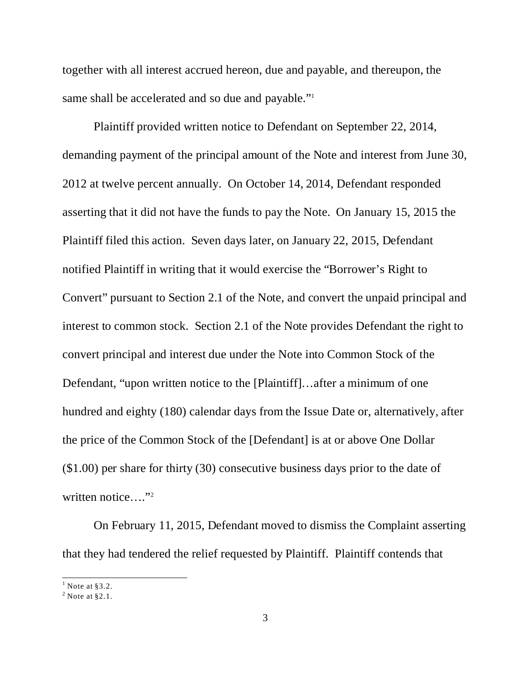together with all interest accrued hereon, due and payable, and thereupon, the same shall be accelerated and so due and payable."<sup>1</sup>

Plaintiff provided written notice to Defendant on September 22, 2014, demanding payment of the principal amount of the Note and interest from June 30, 2012 at twelve percent annually. On October 14, 2014, Defendant responded asserting that it did not have the funds to pay the Note. On January 15, 2015 the Plaintiff filed this action. Seven days later, on January 22, 2015, Defendant notified Plaintiff in writing that it would exercise the "Borrower's Right to Convert" pursuant to Section 2.1 of the Note, and convert the unpaid principal and interest to common stock. Section 2.1 of the Note provides Defendant the right to convert principal and interest due under the Note into Common Stock of the Defendant, "upon written notice to the [Plaintiff]…after a minimum of one hundred and eighty (180) calendar days from the Issue Date or, alternatively, after the price of the Common Stock of the [Defendant] is at or above One Dollar (\$1.00) per share for thirty (30) consecutive business days prior to the date of written notice...."<sup>2</sup>

On February 11, 2015, Defendant moved to dismiss the Complaint asserting that they had tendered the relief requested by Plaintiff. Plaintiff contends that

 $<sup>1</sup>$  Note at §3.2.</sup>

 $2$  Note at  $\S 2.1$ .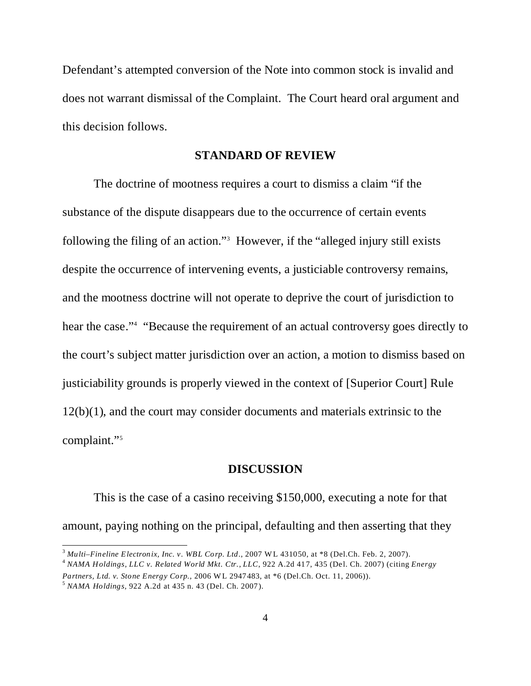Defendant's attempted conversion of the Note into common stock is invalid and does not warrant dismissal of the Complaint. The Court heard oral argument and this decision follows.

### **STANDARD OF REVIEW**

The doctrine of mootness requires a court to dismiss a claim "if the substance of the dispute disappears due to the occurrence of certain events following the filing of an action."<sup>3</sup> However, if the "alleged injury still exists despite the occurrence of intervening events, a justiciable controversy remains, and the mootness doctrine will not operate to deprive the court of jurisdiction to hear the case."<sup>4</sup> "Because the requirement of an actual controversy goes directly to the court's subject matter jurisdiction over an action, a motion to dismiss based on justiciability grounds is properly viewed in the context of [Superior Court] Rule 12(b)(1), and the court may consider documents and materials extrinsic to the complaint."<sup>5</sup>

### **DISCUSSION**

This is the case of a casino receiving \$150,000, executing a note for that amount, paying nothing on the principal, defaulting and then asserting that they

<sup>3</sup> *Multi–Fineline Electronix, Inc. v. WBL Corp. Ltd.,* 2007 WL 431050, at \*8 (Del.Ch. Feb. 2, 2007).

<sup>4</sup> *NAMA Holdings, LLC v. Related World Mkt. Ctr., LLC*, 922 A.2d 417, 435 (Del. Ch. 2007) (citing *Energy*

*Partners, Ltd. v. Stone Energy Corp.,* 2006 WL 2947483, at \*6 (Del.Ch. Oct. 11, 2006)).

<sup>5</sup> *NAMA Holdings,* 922 A.2d at 435 n. 43 (Del. Ch. 2007).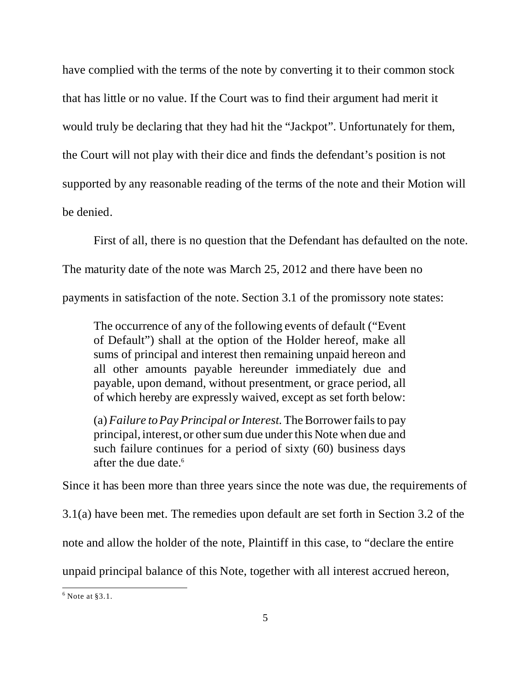have complied with the terms of the note by converting it to their common stock that has little or no value. If the Court was to find their argument had merit it would truly be declaring that they had hit the "Jackpot". Unfortunately for them, the Court will not play with their dice and finds the defendant's position is not supported by any reasonable reading of the terms of the note and their Motion will be denied.

First of all, there is no question that the Defendant has defaulted on the note. The maturity date of the note was March 25, 2012 and there have been no payments in satisfaction of the note. Section 3.1 of the promissory note states:

The occurrence of any of the following events of default ("Event of Default") shall at the option of the Holder hereof, make all sums of principal and interest then remaining unpaid hereon and all other amounts payable hereunder immediately due and payable, upon demand, without presentment, or grace period, all of which hereby are expressly waived, except as set forth below:

(a) *Failure to Pay Principal or Interest.*The Borrower fails to pay principal, interest, or other sum due under this Note when due and such failure continues for a period of sixty (60) business days after the due date.<sup>6</sup>

Since it has been more than three years since the note was due, the requirements of

3.1(a) have been met. The remedies upon default are set forth in Section 3.2 of the

note and allow the holder of the note, Plaintiff in this case, to "declare the entire

unpaid principal balance of this Note, together with all interest accrued hereon,

 $<sup>6</sup>$  Note at §3.1.</sup>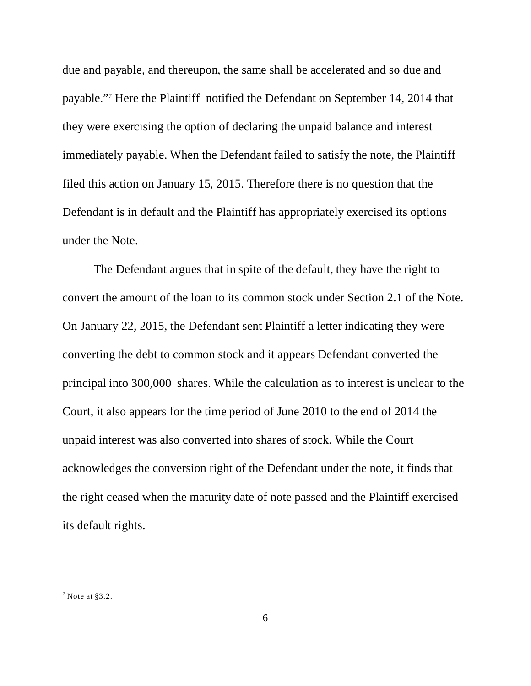due and payable, and thereupon, the same shall be accelerated and so due and payable."<sup>7</sup> Here the Plaintiff notified the Defendant on September 14, 2014 that they were exercising the option of declaring the unpaid balance and interest immediately payable. When the Defendant failed to satisfy the note, the Plaintiff filed this action on January 15, 2015. Therefore there is no question that the Defendant is in default and the Plaintiff has appropriately exercised its options under the Note.

The Defendant argues that in spite of the default, they have the right to convert the amount of the loan to its common stock under Section 2.1 of the Note. On January 22, 2015, the Defendant sent Plaintiff a letter indicating they were converting the debt to common stock and it appears Defendant converted the principal into 300,000 shares. While the calculation as to interest is unclear to the Court, it also appears for the time period of June 2010 to the end of 2014 the unpaid interest was also converted into shares of stock. While the Court acknowledges the conversion right of the Defendant under the note, it finds that the right ceased when the maturity date of note passed and the Plaintiff exercised its default rights.

 $7$  Note at §3.2.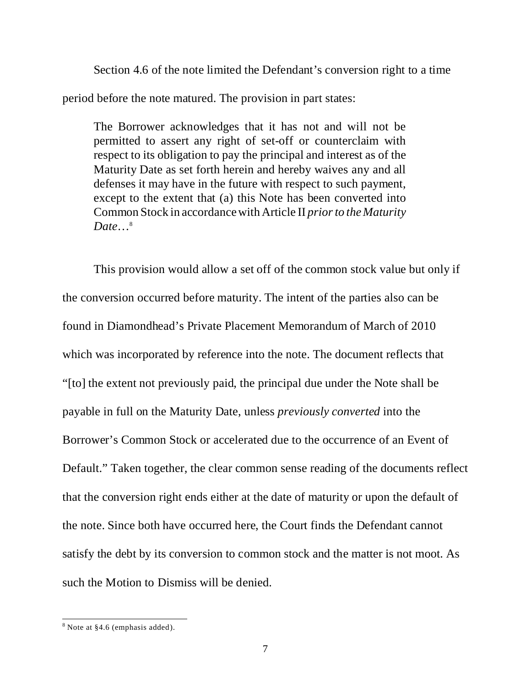Section 4.6 of the note limited the Defendant's conversion right to a time period before the note matured. The provision in part states:

The Borrower acknowledges that it has not and will not be permitted to assert any right of set-off or counterclaim with respect to its obligation to pay the principal and interest as of the Maturity Date as set forth herein and hereby waives any and all defenses it may have in the future with respect to such payment, except to the extent that (a) this Note has been converted into Common Stock in accordance with Article II *prior to the Maturity Date*…<sup>8</sup>

This provision would allow a set off of the common stock value but only if the conversion occurred before maturity. The intent of the parties also can be found in Diamondhead's Private Placement Memorandum of March of 2010 which was incorporated by reference into the note. The document reflects that "[to] the extent not previously paid, the principal due under the Note shall be payable in full on the Maturity Date, unless *previously converted* into the Borrower's Common Stock or accelerated due to the occurrence of an Event of Default." Taken together, the clear common sense reading of the documents reflect that the conversion right ends either at the date of maturity or upon the default of the note. Since both have occurred here, the Court finds the Defendant cannot satisfy the debt by its conversion to common stock and the matter is not moot. As such the Motion to Dismiss will be denied.

<sup>&</sup>lt;sup>8</sup> Note at §4.6 (emphasis added).